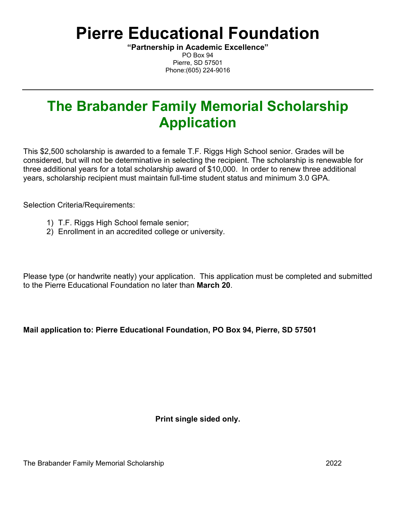# **Pierre Educational Foundation**

**"Partnership in Academic Excellence"** PO Box 94 Pierre, SD 57501 Phone:(605) 224-9016

## **The Brabander Family Memorial Scholarship Application**

This \$2,500 scholarship is awarded to a female T.F. Riggs High School senior. Grades will be considered, but will not be determinative in selecting the recipient. The scholarship is renewable for three additional years for a total scholarship award of \$10,000. In order to renew three additional years, scholarship recipient must maintain full-time student status and minimum 3.0 GPA.

Selection Criteria/Requirements:

- 1) T.F. Riggs High School female senior;
- 2) Enrollment in an accredited college or university.

Please type (or handwrite neatly) your application. This application must be completed and submitted to the Pierre Educational Foundation no later than **March 20**.

#### **Mail application to: Pierre Educational Foundation, PO Box 94, Pierre, SD 57501**

**Print single sided only.**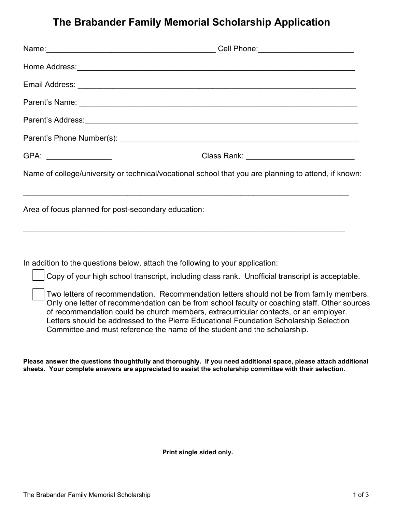### **The Brabander Family Memorial Scholarship Application**

|                                                     | Cell Phone: ___________________________                                                              |
|-----------------------------------------------------|------------------------------------------------------------------------------------------------------|
|                                                     |                                                                                                      |
|                                                     |                                                                                                      |
|                                                     |                                                                                                      |
|                                                     |                                                                                                      |
|                                                     |                                                                                                      |
| GPA: __________________                             | Class Rank: ______________________________                                                           |
|                                                     | Name of college/university or technical/vocational school that you are planning to attend, if known: |
| Area of focus planned for post-secondary education: |                                                                                                      |
|                                                     |                                                                                                      |

In addition to the questions below, attach the following to your application:

Copy of your high school transcript, including class rank. Unofficial transcript is acceptable.

Two letters of recommendation. Recommendation letters should not be from family members. Only one letter of recommendation can be from school faculty or coaching staff. Other sources of recommendation could be church members, extracurricular contacts, or an employer. Letters should be addressed to the Pierre Educational Foundation Scholarship Selection Committee and must reference the name of the student and the scholarship.

**Please answer the questions thoughtfully and thoroughly. If you need additional space, please attach additional sheets. Your complete answers are appreciated to assist the scholarship committee with their selection.** 

**Print single sided only.**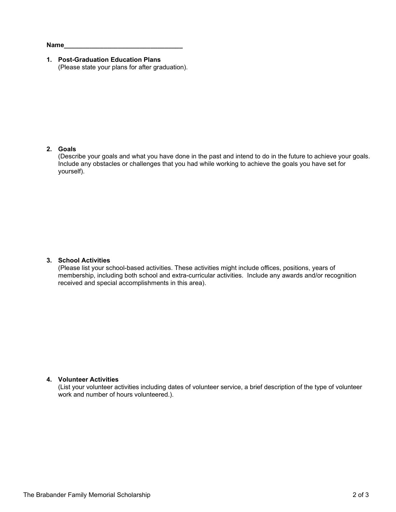**Name\_\_\_\_\_\_\_\_\_\_\_\_\_\_\_\_\_\_\_\_\_\_\_\_\_\_\_\_\_\_\_\_\_**

**1. Post-Graduation Education Plans** (Please state your plans for after graduation).

#### **2. Goals**

(Describe your goals and what you have done in the past and intend to do in the future to achieve your goals. Include any obstacles or challenges that you had while working to achieve the goals you have set for yourself).

#### **3. School Activities**

(Please list your school-based activities. These activities might include offices, positions, years of membership, including both school and extra-curricular activities. Include any awards and/or recognition received and special accomplishments in this area).

#### **4. Volunteer Activities**

(List your volunteer activities including dates of volunteer service, a brief description of the type of volunteer work and number of hours volunteered.).